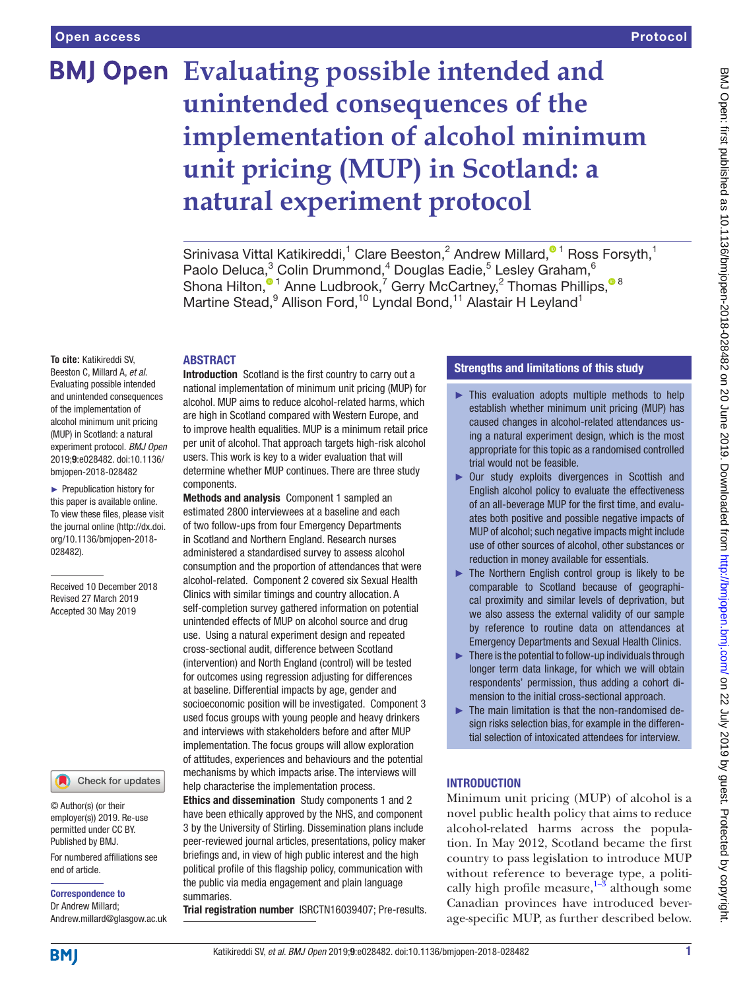# **BMJ Open** Evaluating possible intended and **unintended consequences of the implementation of alcohol minimum unit pricing (MUP) in Scotland: a natural experiment protocol**

Srinivasa Vittal Katikireddi[,](http://orcid.org/0000-0003-3824-7458)<sup>1</sup> Clare Beeston,<sup>2</sup> Andrew Millard,<sup>® 1</sup> Ross Forsyth,<sup>1</sup> Paolo Deluca,<sup>3</sup> Colin Drummond,<sup>4</sup> Douglas Eadie,<sup>5</sup> Lesley Graham,<sup>6</sup> Shona Hilton[,](http://orcid.org/0000-0003-0633-8152)<sup>® 1</sup> Anne Ludbrook,<sup>7</sup> Gerry McCartney,<sup>2</sup> Thomas Phillips,<sup>® 8</sup> Martine Stead, <sup>9</sup> Allison Ford, <sup>10</sup> Lyndal Bond, <sup>11</sup> Alastair H Leyland<sup>1</sup>

## **ABSTRACT**

**To cite:** Katikireddi SV, Beeston C, Millard A, *et al*. Evaluating possible intended and unintended consequences of the implementation of alcohol minimum unit pricing (MUP) in Scotland: a natural experiment protocol. *BMJ Open* 2019;9:e028482. doi:10.1136/ bmjopen-2018-028482

► Prepublication history for this paper is available online. To view these files, please visit the journal online (http://dx.doi. org/10.1136/bmjopen-2018- 028482).

Received 10 December 2018 Revised 27 March 2019 Accepted 30 May 2019

#### Check for updates

© Author(s) (or their employer(s)) 2019. Re-use permitted under CC BY. Published by BMJ.

For numbered affiliations see end of article.

Correspondence to Dr Andrew Millard; Andrew.millard@glasgow.ac.uk

Introduction Scotland is the first country to carry out a national implementation of minimum unit pricing (MUP) for alcohol. MUP aims to reduce alcohol-related harms, which are high in Scotland compared with Western Europe, and to improve health equalities. MUP is a minimum retail price per unit of alcohol. That approach targets high-risk alcohol users. This work is key to a wider evaluation that will determine whether MUP continues. There are three study components.

Methods and analysis Component 1 sampled an estimated 2800 interviewees at a baseline and each of two follow-ups from four Emergency Departments in Scotland and Northern England. Research nurses administered a standardised survey to assess alcohol consumption and the proportion of attendances that were alcohol-related. Component 2 covered six Sexual Health Clinics with similar timings and country allocation. A self-completion survey gathered information on potential unintended effects of MUP on alcohol source and drug use. Using a natural experiment design and repeated cross-sectional audit, difference between Scotland (intervention) and North England (control) will be tested for outcomes using regression adjusting for differences at baseline. Differential impacts by age, gender and socioeconomic position will be investigated. Component 3 used focus groups with young people and heavy drinkers and interviews with stakeholders before and after MUP implementation. The focus groups will allow exploration of attitudes, experiences and behaviours and the potential mechanisms by which impacts arise. The interviews will help characterise the implementation process.

Ethics and dissemination Study components 1 and 2 have been ethically approved by the NHS, and component 3 by the University of Stirling. Dissemination plans include peer-reviewed journal articles, presentations, policy maker briefings and, in view of high public interest and the high political profile of this flagship policy, communication with the public via media engagement and plain language summaries.

Trial registration number <ISRCTN16039407>; Pre-results.

# Strengths and limitations of this study

- ► This evaluation adopts multiple methods to help establish whether minimum unit pricing (MUP) has caused changes in alcohol-related attendances using a natural experiment design, which is the most appropriate for this topic as a randomised controlled trial would not be feasible.
- ► Our study exploits divergences in Scottish and English alcohol policy to evaluate the effectiveness of an all-beverage MUP for the first time, and evaluates both positive and possible negative impacts of MUP of alcohol; such negative impacts might include use of other sources of alcohol, other substances or reduction in money available for essentials.
- ► The Northern English control group is likely to be comparable to Scotland because of geographical proximity and similar levels of deprivation, but we also assess the external validity of our sample by reference to routine data on attendances at Emergency Departments and Sexual Health Clinics.
- $\blacktriangleright$  There is the potential to follow-up individuals through longer term data linkage, for which we will obtain respondents' permission, thus adding a cohort dimension to the initial cross-sectional approach.
- ► The main limitation is that the non-randomised design risks selection bias, for example in the differential selection of intoxicated attendees for interview.

#### **INTRODUCTION**

Minimum unit pricing (MUP) of alcohol is a novel public health policy that aims to reduce alcohol-related harms across the population. In May 2012, Scotland became the first country to pass legislation to introduce MUP without reference to beverage type, a politically high profile measure, $1-3$  although some Canadian provinces have introduced beverage-specific MUP, as further described below.

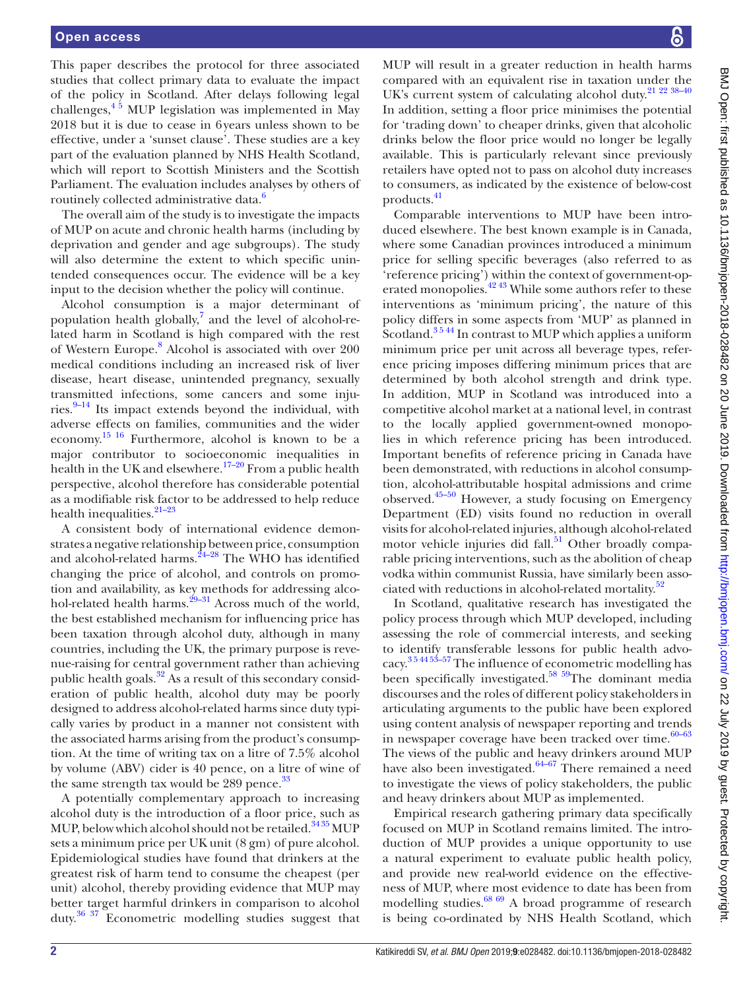This paper describes the protocol for three associated studies that collect primary data to evaluate the impact of the policy in Scotland. After delays following legal challenges,  $4\frac{1}{2}$  MUP legislation was implemented in May 2018 but it is due to cease in 6years unless shown to be effective, under a 'sunset clause'. These studies are a key part of the evaluation planned by NHS Health Scotland, which will report to Scottish Ministers and the Scottish Parliament. The evaluation includes analyses by others of routinely collected administrative data.<sup>[6](#page-8-2)</sup>

The overall aim of the study is to investigate the impacts of MUP on acute and chronic health harms (including by deprivation and gender and age subgroups). The study will also determine the extent to which specific unintended consequences occur. The evidence will be a key input to the decision whether the policy will continue.

Alcohol consumption is a major determinant of population health globally,<sup>[7](#page-8-3)</sup> and the level of alcohol-related harm in Scotland is high compared with the rest of Western Europe.<sup>[8](#page-8-4)</sup> Alcohol is associated with over 200 medical conditions including an increased risk of liver disease, heart disease, unintended pregnancy, sexually transmitted infections, some cancers and some injuries.<sup>9-14</sup> Its impact extends beyond the individual, with adverse effects on families, communities and the wider economy.<sup>[15 16](#page-8-6)</sup> Furthermore, alcohol is known to be a major contributor to socioeconomic inequalities in health in the UK and elsewhere.<sup>17-20</sup> From a public health perspective, alcohol therefore has considerable potential as a modifiable risk factor to be addressed to help reduce health inequalities. $21-23$ 

A consistent body of international evidence demonstrates a negative relationship between price, consumption and alcohol-related harms. $^{24-28}$  The WHO has identified changing the price of alcohol, and controls on promotion and availability, as key methods for addressing alcohol-related health harms.<sup>29–31</sup> Across much of the world, the best established mechanism for influencing price has been taxation through alcohol duty, although in many countries, including the UK, the primary purpose is revenue-raising for central government rather than achieving public health goals. $32$  As a result of this secondary consideration of public health, alcohol duty may be poorly designed to address alcohol-related harms since duty typically varies by product in a manner not consistent with the associated harms arising from the product's consumption. At the time of writing tax on a litre of 7.5% alcohol by volume (ABV) cider is 40 pence, on a litre of wine of the same strength tax would be 289 pence.<sup>[33](#page-8-12)</sup>

A potentially complementary approach to increasing alcohol duty is the introduction of a floor price, such as MUP, below which alcohol should not be retailed.<sup>3435</sup> MUP sets a minimum price per UK unit (8 gm) of pure alcohol. Epidemiological studies have found that drinkers at the greatest risk of harm tend to consume the cheapest (per unit) alcohol, thereby providing evidence that MUP may better target harmful drinkers in comparison to alcohol duty[.36 37](#page-9-1) Econometric modelling studies suggest that

MUP will result in a greater reduction in health harms compared with an equivalent rise in taxation under the UK's current system of calculating alcohol duty.<sup>21</sup> <sup>22</sup> <sup>38-40</sup> In addition, setting a floor price minimises the potential for 'trading down' to cheaper drinks, given that alcoholic drinks below the floor price would no longer be legally available. This is particularly relevant since previously retailers have opted not to pass on alcohol duty increases to consumers, as indicated by the existence of below-cost products.[41](#page-9-2)

Comparable interventions to MUP have been introduced elsewhere. The best known example is in Canada, where some Canadian provinces introduced a minimum price for selling specific beverages (also referred to as 'reference pricing') within the context of government-op-erated monopolies.<sup>[42 43](#page-9-3)</sup> While some authors refer to these interventions as 'minimum pricing', the nature of this policy differs in some aspects from 'MUP' as planned in Scotland.<sup>3544</sup> In contrast to MUP which applies a uniform minimum price per unit across all beverage types, reference pricing imposes differing minimum prices that are determined by both alcohol strength and drink type. In addition, MUP in Scotland was introduced into a competitive alcohol market at a national level, in contrast to the locally applied government-owned monopolies in which reference pricing has been introduced. Important benefits of reference pricing in Canada have been demonstrated, with reductions in alcohol consumption, alcohol-attributable hospital admissions and crime observed.[45–50](#page-9-4) However, a study focusing on Emergency Department (ED) visits found no reduction in overall visits for alcohol-related injuries, although alcohol-related motor vehicle injuries did fall. $51$  Other broadly comparable pricing interventions, such as the abolition of cheap vodka within communist Russia, have similarly been asso-ciated with reductions in alcohol-related mortality.<sup>[52](#page-9-6)</sup>

In Scotland, qualitative research has investigated the policy process through which MUP developed, including assessing the role of commercial interests, and seeking to identify transferable lessons for public health advocacy.<sup>354453-57</sup> The influence of econometric modelling has been specifically investigated.<sup>58</sup> 59The dominant media discourses and the roles of different policy stakeholders in articulating arguments to the public have been explored using content analysis of newspaper reporting and trends in newspaper coverage have been tracked over time.<sup>60-63</sup> The views of the public and heavy drinkers around MUP have also been investigated. $64-67$  There remained a need to investigate the views of policy stakeholders, the public and heavy drinkers about MUP as implemented.

Empirical research gathering primary data specifically focused on MUP in Scotland remains limited. The introduction of MUP provides a unique opportunity to use a natural experiment to evaluate public health policy, and provide new real-world evidence on the effectiveness of MUP, where most evidence to date has been from modelling studies. $68\frac{69}{9}$  A broad programme of research is being co-ordinated by NHS Health Scotland, which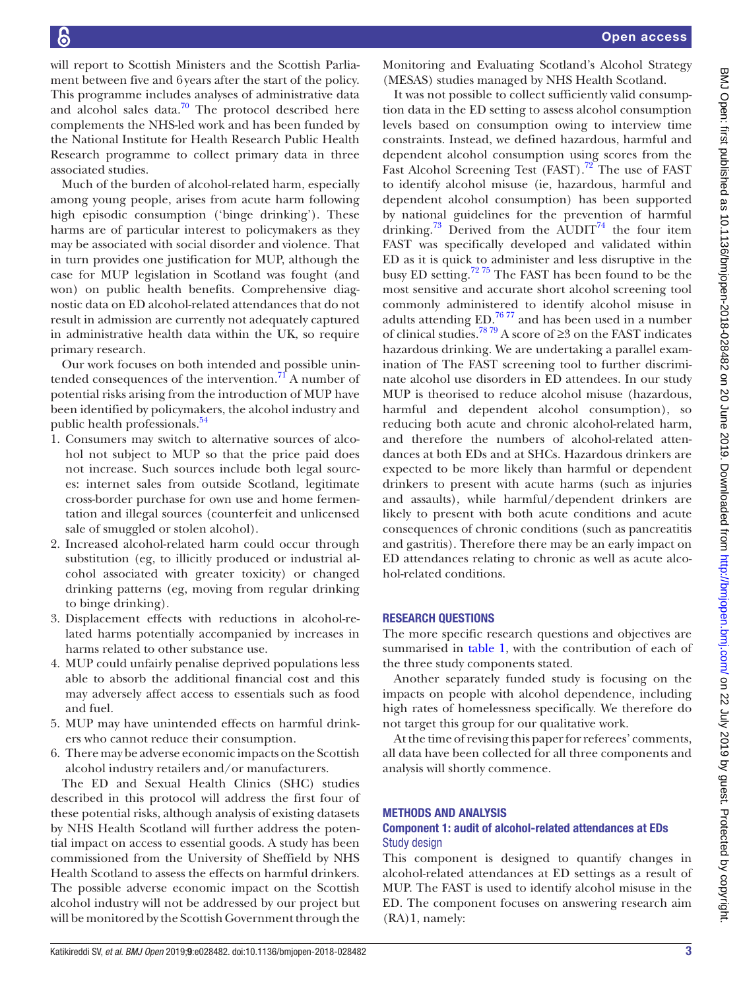will report to Scottish Ministers and the Scottish Parliament between five and 6years after the start of the policy. This programme includes analyses of administrative data and alcohol sales data. $\frac{70}{2}$  The protocol described here complements the NHS-led work and has been funded by the National Institute for Health Research Public Health Research programme to collect primary data in three associated studies.

Much of the burden of alcohol-related harm, especially among young people, arises from acute harm following high episodic consumption ('binge drinking'). These harms are of particular interest to policymakers as they may be associated with social disorder and violence. That in turn provides one justification for MUP, although the case for MUP legislation in Scotland was fought (and won) on public health benefits. Comprehensive diagnostic data on ED alcohol-related attendances that do not result in admission are currently not adequately captured in administrative health data within the UK, so require primary research.

Our work focuses on both intended and possible unintended consequences of the intervention.<sup>71</sup> A number of potential risks arising from the introduction of MUP have been identified by policymakers, the alcohol industry and public health professionals.<sup>[54](#page-9-13)</sup>

- 1. Consumers may switch to alternative sources of alcohol not subject to MUP so that the price paid does not increase. Such sources include both legal sources: internet sales from outside Scotland, legitimate cross-border purchase for own use and home fermentation and illegal sources (counterfeit and unlicensed sale of smuggled or stolen alcohol).
- 2. Increased alcohol-related harm could occur through substitution (eg, to illicitly produced or industrial alcohol associated with greater toxicity) or changed drinking patterns (eg, moving from regular drinking to binge drinking).
- 3. Displacement effects with reductions in alcohol-related harms potentially accompanied by increases in harms related to other substance use.
- 4. MUP could unfairly penalise deprived populations less able to absorb the additional financial cost and this may adversely affect access to essentials such as food and fuel.
- 5. MUP may have unintended effects on harmful drinkers who cannot reduce their consumption.
- 6. There may be adverse economic impacts on the Scottish alcohol industry retailers and/or manufacturers.

The ED and Sexual Health Clinics (SHC) studies described in this protocol will address the first four of these potential risks, although analysis of existing datasets by NHS Health Scotland will further address the potential impact on access to essential goods. A study has been commissioned from the University of Sheffield by NHS Health Scotland to assess the effects on harmful drinkers. The possible adverse economic impact on the Scottish alcohol industry will not be addressed by our project but will be monitored by the Scottish Government through the

Monitoring and Evaluating Scotland's Alcohol Strategy (MESAS) studies managed by NHS Health Scotland.

It was not possible to collect sufficiently valid consumption data in the ED setting to assess alcohol consumption levels based on consumption owing to interview time constraints. Instead, we defined hazardous, harmful and dependent alcohol consumption using scores from the Fast Alcohol Screening Test (FAST).<sup>72</sup> The use of FAST to identify alcohol misuse (ie, hazardous, harmful and dependent alcohol consumption) has been supported by national guidelines for the prevention of harmful drinking.<sup>73</sup> Derived from the AUDIT<sup>[74](#page-9-16)</sup> the four item FAST was specifically developed and validated within ED as it is quick to administer and less disruptive in the busy ED setting[.72 75](#page-9-14) The FAST has been found to be the most sensitive and accurate short alcohol screening tool commonly administered to identify alcohol misuse in adults attending  $ED.^{7677}$  and has been used in a number of clinical studies.<sup>[78 79](#page-9-18)</sup> A score of ≥3 on the FAST indicates hazardous drinking. We are undertaking a parallel examination of The FAST screening tool to further discriminate alcohol use disorders in ED attendees. In our study MUP is theorised to reduce alcohol misuse (hazardous, harmful and dependent alcohol consumption), so reducing both acute and chronic alcohol-related harm, and therefore the numbers of alcohol-related attendances at both EDs and at SHCs. Hazardous drinkers are expected to be more likely than harmful or dependent drinkers to present with acute harms (such as injuries and assaults), while harmful/dependent drinkers are likely to present with both acute conditions and acute consequences of chronic conditions (such as pancreatitis and gastritis). Therefore there may be an early impact on ED attendances relating to chronic as well as acute alcohol-related conditions.

# Research questions

The more specific research questions and objectives are summarised in [table](#page-3-0) 1, with the contribution of each of the three study components stated.

Another separately funded study is focusing on the impacts on people with alcohol dependence, including high rates of homelessness specifically. We therefore do not target this group for our qualitative work.

At the time of revising this paper for referees' comments, all data have been collected for all three components and analysis will shortly commence.

#### Methods and analysis

# Component 1: audit of alcohol-related attendances at EDs Study design

This component is designed to quantify changes in alcohol-related attendances at ED settings as a result of MUP. The FAST is used to identify alcohol misuse in the ED. The component focuses on answering research aim (RA)1, namely: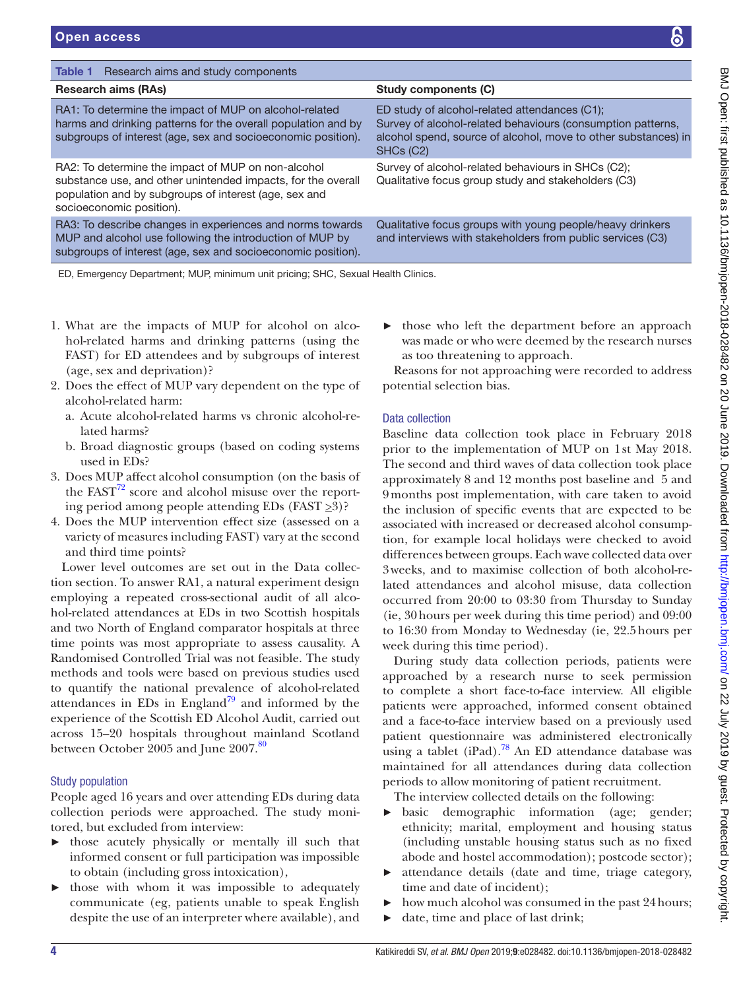<span id="page-3-0"></span>

| <b>Open access</b>                                                                                                                                                                                      |                                                                                                                                                                                             |
|---------------------------------------------------------------------------------------------------------------------------------------------------------------------------------------------------------|---------------------------------------------------------------------------------------------------------------------------------------------------------------------------------------------|
| Research aims and study components<br>Table 1                                                                                                                                                           |                                                                                                                                                                                             |
| <b>Research aims (RAs)</b>                                                                                                                                                                              | <b>Study components (C)</b>                                                                                                                                                                 |
| RA1: To determine the impact of MUP on alcohol-related<br>harms and drinking patterns for the overall population and by<br>subgroups of interest (age, sex and socioeconomic position).                 | ED study of alcohol-related attendances (C1);<br>Survey of alcohol-related behaviours (consumption patterns,<br>alcohol spend, source of alcohol, move to other substances) in<br>SHCs (C2) |
| RA2: To determine the impact of MUP on non-alcohol<br>substance use, and other unintended impacts, for the overall<br>population and by subgroups of interest (age, sex and<br>socioeconomic position). | Survey of alcohol-related behaviours in SHCs (C2);<br>Qualitative focus group study and stakeholders (C3)                                                                                   |
| RA3: To describe changes in experiences and norms towards                                                                                                                                               | Qualitative focus groups with young people/heavy drinkers                                                                                                                                   |

ED, Emergency Department; MUP, minimum unit pricing; SHC, Sexual Health Clinics.

1. What are the impacts of MUP for alcohol on alcohol-related harms and drinking patterns (using the FAST) for ED attendees and by subgroups of interest (age, sex and deprivation)?

MUP and alcohol use following the introduction of MUP by subgroups of interest (age, sex and socioeconomic position).

- 2. Does the effect of MUP vary dependent on the type of alcohol-related harm:
	- a. Acute alcohol-related harms vs chronic alcohol-related harms?
	- b. Broad diagnostic groups (based on coding systems used in EDs?
- 3. Does MUP affect alcohol consumption (on the basis of the  $FAST<sup>72</sup>$  $FAST<sup>72</sup>$  $FAST<sup>72</sup>$  score and alcohol misuse over the reporting period among people attending EDs (FAST  $\geq 3$ )?
- 4. Does the MUP intervention effect size (assessed on a variety of measures including FAST) vary at the second and third time points?

Lower level outcomes are set out in the Data collection section. To answer RA1, a natural experiment design employing a repeated cross-sectional audit of all alcohol-related attendances at EDs in two Scottish hospitals and two North of England comparator hospitals at three time points was most appropriate to assess causality. A Randomised Controlled Trial was not feasible. The study methods and tools were based on previous studies used to quantify the national prevalence of alcohol-related attendances in EDs in England<sup>79</sup> and informed by the experience of the Scottish ED Alcohol Audit, carried out across 15–20 hospitals throughout mainland Scotland between October 2005 and June 2007.<sup>[80](#page-9-20)</sup>

#### Study population

People aged 16 years and over attending EDs during data collection periods were approached. The study monitored, but excluded from interview:

- ► those acutely physically or mentally ill such that informed consent or full participation was impossible to obtain (including gross intoxication),
- ► those with whom it was impossible to adequately communicate (eg, patients unable to speak English despite the use of an interpreter where available), and

► those who left the department before an approach was made or who were deemed by the research nurses as too threatening to approach.

and interviews with stakeholders from public services (C3)

Reasons for not approaching were recorded to address potential selection bias.

#### Data collection

Baseline data collection took place in February 2018 prior to the implementation of MUP on 1st May 2018. The second and third waves of data collection took place approximately 8 and 12 months post baseline and 5 and 9months post implementation, with care taken to avoid the inclusion of specific events that are expected to be associated with increased or decreased alcohol consumption, for example local holidays were checked to avoid differences between groups. Each wave collected data over 3weeks, and to maximise collection of both alcohol-related attendances and alcohol misuse, data collection occurred from 20:00 to 03:30 from Thursday to Sunday (ie, 30hours per week during this time period) and 09:00 to 16:30 from Monday to Wednesday (ie, 22.5hours per week during this time period).

During study data collection periods, patients were approached by a research nurse to seek permission to complete a short face-to-face interview. All eligible patients were approached, informed consent obtained and a face-to-face interview based on a previously used patient questionnaire was administered electronically using a tablet (iPad).<sup>78</sup> An ED attendance database was maintained for all attendances during data collection periods to allow monitoring of patient recruitment.

The interview collected details on the following:

- ► basic demographic information (age; gender; ethnicity; marital, employment and housing status (including unstable housing status such as no fixed abode and hostel accommodation); postcode sector);
- ► attendance details (date and time, triage category, time and date of incident);
- ► how much alcohol was consumed in the past 24hours;
- ► date, time and place of last drink;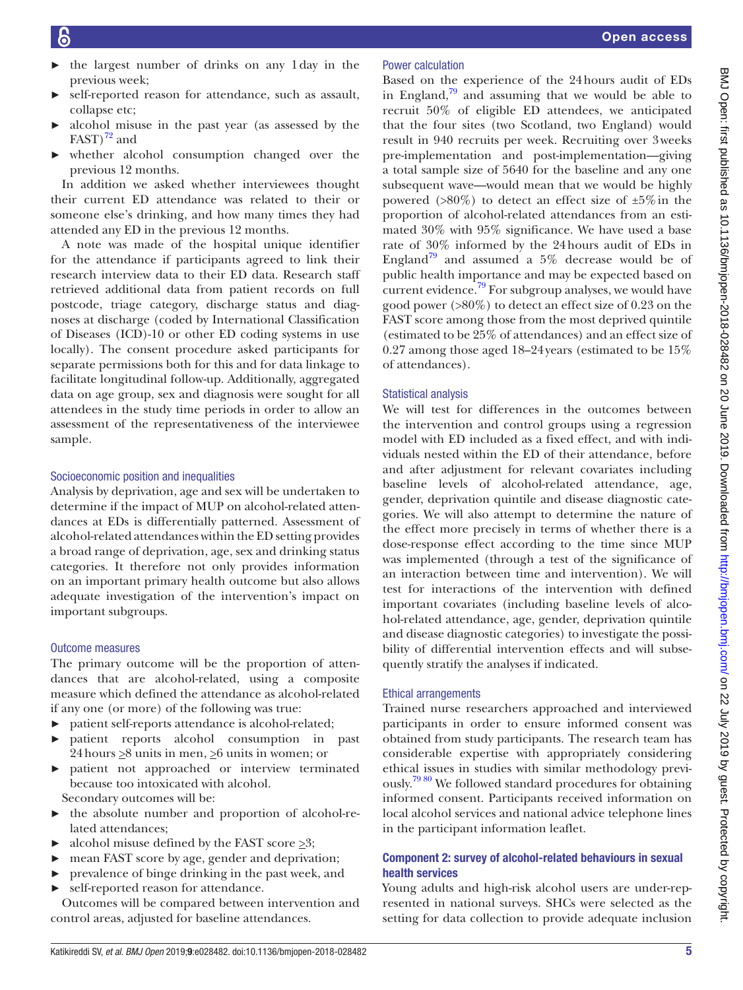BMJ Open: first published as 10.1136/bmjopen-2018-028482 on 20 June 2019. Downloaded from http://bmjopen.bmj.com/ on 22 July 2019 by guest. Protected by copyright BMJ Open: first published as 10.1136/bmjopen-2019-028482 on 20 June 2019. Downloaded from <http://bmjopen.bmj.com/> an 22 July 2019 opest. Protected by copyright.

- ► the largest number of drinks on any 1day in the previous week;
- self-reported reason for attendance, such as assault, collapse etc;
- ► alcohol misuse in the past year (as assessed by the  $FAST$ <sup>72</sup> and
- whether alcohol consumption changed over the previous 12 months.

In addition we asked whether interviewees thought their current ED attendance was related to their or someone else's drinking, and how many times they had attended any ED in the previous 12 months.

A note was made of the hospital unique identifier for the attendance if participants agreed to link their research interview data to their ED data. Research staff retrieved additional data from patient records on full postcode, triage category, discharge status and diagnoses at discharge (coded by International Classification of Diseases (ICD)-10 or other ED coding systems in use locally). The consent procedure asked participants for separate permissions both for this and for data linkage to facilitate longitudinal follow-up. Additionally, aggregated data on age group, sex and diagnosis were sought for all attendees in the study time periods in order to allow an assessment of the representativeness of the interviewee sample.

# Socioeconomic position and inequalities

Analysis by deprivation, age and sex will be undertaken to determine if the impact of MUP on alcohol-related attendances at EDs is differentially patterned. Assessment of alcohol-related attendances within the ED setting provides a broad range of deprivation, age, sex and drinking status categories. It therefore not only provides information on an important primary health outcome but also allows adequate investigation of the intervention's impact on important subgroups.

#### Outcome measures

The primary outcome will be the proportion of attendances that are alcohol-related, using a composite measure which defined the attendance as alcohol-related if any one (or more) of the following was true:

- ► patient self-reports attendance is alcohol-related;
- patient reports alcohol consumption in past 24 hours  $\geq$ 8 units in men,  $\geq$ 6 units in women; or
- ► patient not approached or interview terminated because too intoxicated with alcohol. Secondary outcomes will be:
- ► the absolute number and proportion of alcohol-related attendances;
- $\blacktriangleright$  alcohol misuse defined by the FAST score  $\geq$ 3;
- ► mean FAST score by age, gender and deprivation;
- ► prevalence of binge drinking in the past week, and
- self-reported reason for attendance. Outcomes will be compared between intervention and

control areas, adjusted for baseline attendances.

# Power calculation

Based on the experience of the 24hours audit of EDs in England, $\frac{79}{2}$  and assuming that we would be able to recruit 50% of eligible ED attendees, we anticipated that the four sites (two Scotland, two England) would result in 940 recruits per week. Recruiting over 3weeks pre-implementation and post-implementation—giving a total sample size of 5640 for the baseline and any one subsequent wave—would mean that we would be highly powered ( $>80\%$ ) to detect an effect size of  $\pm 5\%$  in the proportion of alcohol-related attendances from an estimated 30% with 95% significance. We have used a base rate of 30% informed by the 24hours audit of EDs in England<sup>79</sup> and assumed a 5% decrease would be of public health importance and may be expected based on current evidence.<sup>79</sup> For subgroup analyses, we would have good power (>80%) to detect an effect size of 0.23 on the FAST score among those from the most deprived quintile (estimated to be 25% of attendances) and an effect size of 0.27 among those aged 18–24years (estimated to be 15% of attendances).

# Statistical analysis

We will test for differences in the outcomes between the intervention and control groups using a regression model with ED included as a fixed effect, and with individuals nested within the ED of their attendance, before and after adjustment for relevant covariates including baseline levels of alcohol-related attendance, age, gender, deprivation quintile and disease diagnostic categories. We will also attempt to determine the nature of the effect more precisely in terms of whether there is a dose-response effect according to the time since MUP was implemented (through a test of the significance of an interaction between time and intervention). We will test for interactions of the intervention with defined important covariates (including baseline levels of alcohol-related attendance, age, gender, deprivation quintile and disease diagnostic categories) to investigate the possibility of differential intervention effects and will subsequently stratify the analyses if indicated.

# Ethical arrangements

Trained nurse researchers approached and interviewed participants in order to ensure informed consent was obtained from study participants. The research team has considerable expertise with appropriately considering ethical issues in studies with similar methodology previ-ously.<sup>[79 80](#page-9-19)</sup> We followed standard procedures for obtaining informed consent. Participants received information on local alcohol services and national advice telephone lines in the participant information leaflet.

# Component 2: survey of alcohol-related behaviours in sexual health services

Young adults and high-risk alcohol users are under-represented in national surveys. SHCs were selected as the setting for data collection to provide adequate inclusion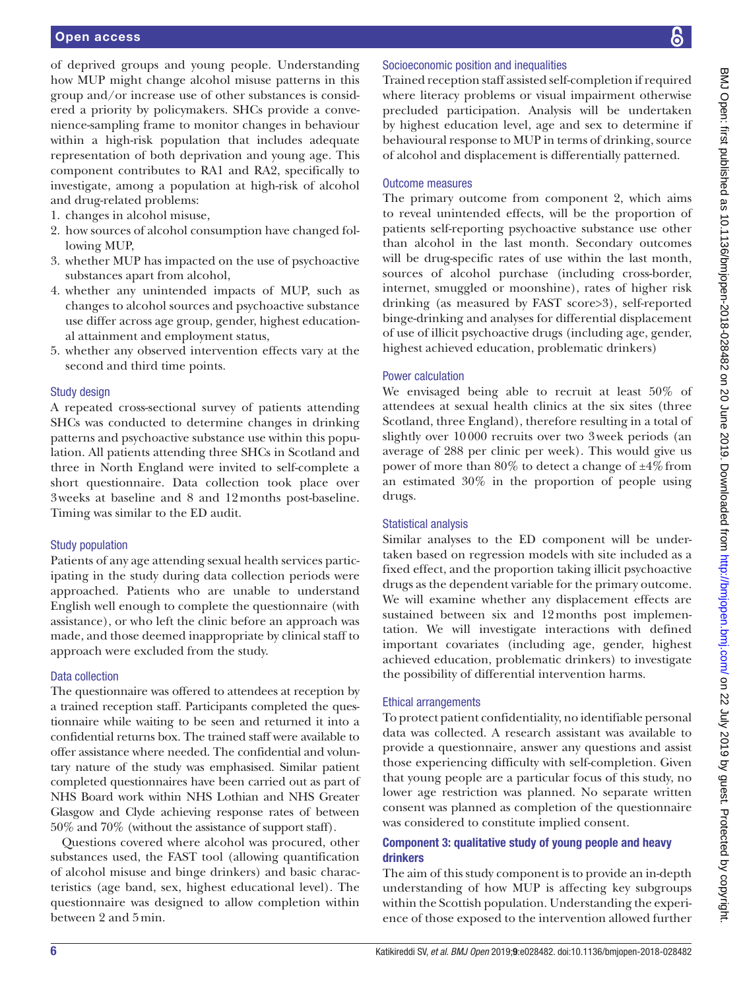of deprived groups and young people. Understanding how MUP might change alcohol misuse patterns in this group and/or increase use of other substances is considered a priority by policymakers. SHCs provide a convenience-sampling frame to monitor changes in behaviour within a high-risk population that includes adequate representation of both deprivation and young age. This component contributes to RA1 and RA2, specifically to investigate, among a population at high-risk of alcohol and drug-related problems:

- 1. changes in alcohol misuse,
- 2. how sources of alcohol consumption have changed following MUP,
- 3. whether MUP has impacted on the use of psychoactive substances apart from alcohol,
- 4. whether any unintended impacts of MUP, such as changes to alcohol sources and psychoactive substance use differ across age group, gender, highest educational attainment and employment status,
- 5. whether any observed intervention effects vary at the second and third time points.

#### Study design

A repeated cross-sectional survey of patients attending SHCs was conducted to determine changes in drinking patterns and psychoactive substance use within this population. All patients attending three SHCs in Scotland and three in North England were invited to self-complete a short questionnaire. Data collection took place over 3weeks at baseline and 8 and 12months post-baseline. Timing was similar to the ED audit.

#### Study population

Patients of any age attending sexual health services participating in the study during data collection periods were approached. Patients who are unable to understand English well enough to complete the questionnaire (with assistance), or who left the clinic before an approach was made, and those deemed inappropriate by clinical staff to approach were excluded from the study.

#### Data collection

The questionnaire was offered to attendees at reception by a trained reception staff. Participants completed the questionnaire while waiting to be seen and returned it into a confidential returns box. The trained staff were available to offer assistance where needed. The confidential and voluntary nature of the study was emphasised. Similar patient completed questionnaires have been carried out as part of NHS Board work within NHS Lothian and NHS Greater Glasgow and Clyde achieving response rates of between 50% and 70% (without the assistance of support staff).

Questions covered where alcohol was procured, other substances used, the FAST tool (allowing quantification of alcohol misuse and binge drinkers) and basic characteristics (age band, sex, highest educational level). The questionnaire was designed to allow completion within between 2 and 5min.

# Socioeconomic position and inequalities

Trained reception staff assisted self-completion if required where literacy problems or visual impairment otherwise precluded participation. Analysis will be undertaken by highest education level, age and sex to determine if behavioural response to MUP in terms of drinking, source of alcohol and displacement is differentially patterned.

#### Outcome measures

The primary outcome from component 2, which aims to reveal unintended effects, will be the proportion of patients self-reporting psychoactive substance use other than alcohol in the last month. Secondary outcomes will be drug-specific rates of use within the last month, sources of alcohol purchase (including cross-border, internet, smuggled or moonshine), rates of higher risk drinking (as measured by FAST score>3), self-reported binge-drinking and analyses for differential displacement of use of illicit psychoactive drugs (including age, gender, highest achieved education, problematic drinkers)

#### Power calculation

We envisaged being able to recruit at least 50% of attendees at sexual health clinics at the six sites (three Scotland, three England), therefore resulting in a total of slightly over 10000 recruits over two 3week periods (an average of 288 per clinic per week). This would give us power of more than  $80\%$  to detect a change of  $\pm 4\%$  from an estimated 30% in the proportion of people using drugs.

#### Statistical analysis

Similar analyses to the ED component will be undertaken based on regression models with site included as a fixed effect, and the proportion taking illicit psychoactive drugs as the dependent variable for the primary outcome. We will examine whether any displacement effects are sustained between six and 12months post implementation. We will investigate interactions with defined important covariates (including age, gender, highest achieved education, problematic drinkers) to investigate the possibility of differential intervention harms.

#### Ethical arrangements

To protect patient confidentiality, no identifiable personal data was collected. A research assistant was available to provide a questionnaire, answer any questions and assist those experiencing difficulty with self-completion. Given that young people are a particular focus of this study, no lower age restriction was planned. No separate written consent was planned as completion of the questionnaire was considered to constitute implied consent.

# Component 3: qualitative study of young people and heavy drinkers

The aim of this study component is to provide an in-depth understanding of how MUP is affecting key subgroups within the Scottish population. Understanding the experience of those exposed to the intervention allowed further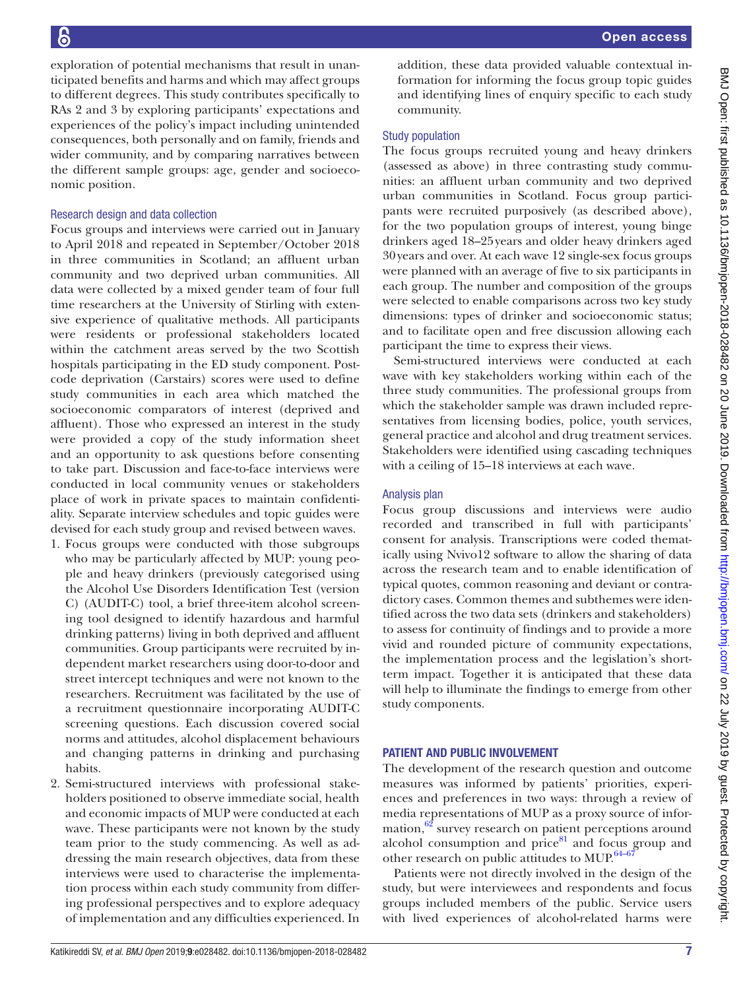exploration of potential mechanisms that result in unanticipated benefits and harms and which may affect groups to different degrees. This study contributes specifically to RAs 2 and 3 by exploring participants' expectations and experiences of the policy's impact including unintended consequences, both personally and on family, friends and wider community, and by comparing narratives between the different sample groups: age, gender and socioeconomic position.

## Research design and data collection

Focus groups and interviews were carried out in January to April 2018 and repeated in September/October 2018 in three communities in Scotland; an affluent urban community and two deprived urban communities. All data were collected by a mixed gender team of four full time researchers at the University of Stirling with extensive experience of qualitative methods. All participants were residents or professional stakeholders located within the catchment areas served by the two Scottish hospitals participating in the ED study component. Postcode deprivation (Carstairs) scores were used to define study communities in each area which matched the socioeconomic comparators of interest (deprived and affluent). Those who expressed an interest in the study were provided a copy of the study information sheet and an opportunity to ask questions before consenting to take part. Discussion and face-to-face interviews were conducted in local community venues or stakeholders place of work in private spaces to maintain confidentiality. Separate interview schedules and topic guides were devised for each study group and revised between waves.

- 1. Focus groups were conducted with those subgroups who may be particularly affected by MUP: young people and heavy drinkers (previously categorised using the Alcohol Use Disorders Identification Test (version C) (AUDIT-C) tool, a brief three-item alcohol screening tool designed to identify hazardous and harmful drinking patterns) living in both deprived and affluent communities. Group participants were recruited by independent market researchers using door-to-door and street intercept techniques and were not known to the researchers. Recruitment was facilitated by the use of a recruitment questionnaire incorporating AUDIT-C screening questions. Each discussion covered social norms and attitudes, alcohol displacement behaviours and changing patterns in drinking and purchasing habits.
- 2. Semi-structured interviews with professional stakeholders positioned to observe immediate social, health and economic impacts of MUP were conducted at each wave. These participants were not known by the study team prior to the study commencing. As well as addressing the main research objectives, data from these interviews were used to characterise the implementation process within each study community from differing professional perspectives and to explore adequacy of implementation and any difficulties experienced. In

addition, these data provided valuable contextual information for informing the focus group topic guides and identifying lines of enquiry specific to each study community.

# Study population

The focus groups recruited young and heavy drinkers (assessed as above) in three contrasting study communities: an affluent urban community and two deprived urban communities in Scotland. Focus group participants were recruited purposively (as described above), for the two population groups of interest, young binge drinkers aged 18–25years and older heavy drinkers aged 30years and over. At each wave 12 single-sex focus groups were planned with an average of five to six participants in each group. The number and composition of the groups were selected to enable comparisons across two key study dimensions: types of drinker and socioeconomic status; and to facilitate open and free discussion allowing each participant the time to express their views.

Semi-structured interviews were conducted at each wave with key stakeholders working within each of the three study communities. The professional groups from which the stakeholder sample was drawn included representatives from licensing bodies, police, youth services, general practice and alcohol and drug treatment services. Stakeholders were identified using cascading techniques with a ceiling of 15–18 interviews at each wave.

# Analysis plan

Focus group discussions and interviews were audio recorded and transcribed in full with participants' consent for analysis. Transcriptions were coded thematically using Nvivo12 software to allow the sharing of data across the research team and to enable identification of typical quotes, common reasoning and deviant or contradictory cases. Common themes and subthemes were identified across the two data sets (drinkers and stakeholders) to assess for continuity of findings and to provide a more vivid and rounded picture of community expectations, the implementation process and the legislation's shortterm impact. Together it is anticipated that these data will help to illuminate the findings to emerge from other study components.

# Patient and public involvement

The development of the research question and outcome measures was informed by patients' priorities, experiences and preferences in two ways: through a review of media representations of MUP as a proxy source of information,<sup>62</sup> survey research on patient perceptions around alcohol consumption and price $81$  and focus group and other research on public attitudes to MUP. $64-6$ 

Patients were not directly involved in the design of the study, but were interviewees and respondents and focus groups included members of the public. Service users with lived experiences of alcohol-related harms were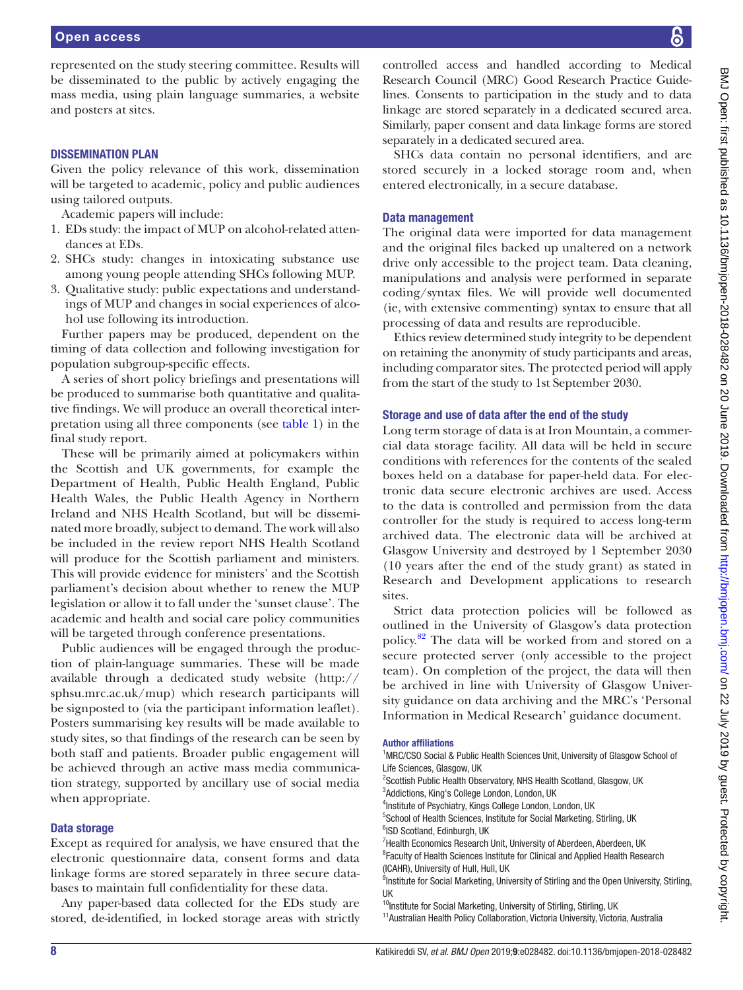controlled access and handled according to Medical Research Council (MRC) Good Research Practice Guidelines. Consents to participation in the study and to data linkage are stored separately in a dedicated secured area. Similarly, paper consent and data linkage forms are stored separately in a dedicated secured area. SHCs data contain no personal identifiers, and are stored securely in a locked storage room and, when entered electronically, in a secure database. The original data were imported for data management and the original files backed up unaltered on a network drive only accessible to the project team. Data cleaning, manipulations and analysis were performed in separate coding/syntax files. We will provide well documented (ie, with extensive commenting) syntax to ensure that all processing of data and results are reproducible. Ethics review determined study integrity to be dependent on retaining the anonymity of study participants and areas, including comparator sites. The protected period will apply from the start of the study to 1st September 2030. Storage and use of data after the end of the study Long term storage of data is at Iron Mountain, a commercial data storage facility. All data will be held in secure conditions with references for the contents of the sealed boxes held on a database for paper-held data. For electronic data secure electronic archives are used. Access to the data is controlled and permission from the data controller for the study is required to access long-term archived data. The electronic data will be archived at Glasgow University and destroyed by 1 September 2030 (10 years after the end of the study grant) as stated in Research and Development applications to research

Strict data protection policies will be followed as outlined in the University of Glasgow's data protection policy.<sup>[82](#page-9-23)</sup> The data will be worked from and stored on a secure protected server (only accessible to the project team). On completion of the project, the data will then be archived in line with University of Glasgow University guidance on data archiving and the MRC's 'Personal Information in Medical Research' guidance document.

# Author affiliations

sites.

Data management

- <sup>1</sup>MRC/CSO Social & Public Health Sciences Unit, University of Glasgow School of Life Sciences, Glasgow, UK
- <sup>2</sup>Scottish Public Health Observatory, NHS Health Scotland, Glasgow, UK
- <sup>3</sup>Addictions, King's College London, London, UK
- 4 Institute of Psychiatry, Kings College London, London, UK
- <sup>5</sup>School of Health Sciences, Institute for Social Marketing, Stirling, UK 6 ISD Scotland, Edinburgh, UK
- <sup>7</sup> Health Economics Research Unit, University of Aberdeen, Aberdeen, UK <sup>8</sup> Faculty of Health Sciences Institute for Clinical and Applied Health Research (ICAHR), University of Hull, Hull, UK

represented on the study steering committee. Results will be disseminated to the public by actively engaging the mass media, using plain language summaries, a website and posters at sites.

# Dissemination plan

Given the policy relevance of this work, dissemination will be targeted to academic, policy and public audiences using tailored outputs.

Academic papers will include:

- 1. EDs study: the impact of MUP on alcohol-related attendances at EDs.
- 2. SHCs study: changes in intoxicating substance use among young people attending SHCs following MUP.
- 3. Qualitative study: public expectations and understandings of MUP and changes in social experiences of alcohol use following its introduction.

Further papers may be produced, dependent on the timing of data collection and following investigation for population subgroup-specific effects.

A series of short policy briefings and presentations will be produced to summarise both quantitative and qualitative findings. We will produce an overall theoretical interpretation using all three components (see [table](#page-3-0) 1) in the final study report.

These will be primarily aimed at policymakers within the Scottish and UK governments, for example the Department of Health, Public Health England, Public Health Wales, the Public Health Agency in Northern Ireland and NHS Health Scotland, but will be disseminated more broadly, subject to demand. The work will also be included in the review report NHS Health Scotland will produce for the Scottish parliament and ministers. This will provide evidence for ministers' and the Scottish parliament's decision about whether to renew the MUP legislation or allow it to fall under the 'sunset clause'. The academic and health and social care policy communities will be targeted through conference presentations.

Public audiences will be engaged through the production of plain-language summaries. These will be made available through a dedicated study website ([http://](http://sphsu.mrc.ac.uk/mup) [sphsu.mrc.ac.uk/mup\)](http://sphsu.mrc.ac.uk/mup) which research participants will be signposted to (via the participant information leaflet). Posters summarising key results will be made available to study sites, so that findings of the research can be seen by both staff and patients. Broader public engagement will be achieved through an active mass media communication strategy, supported by ancillary use of social media when appropriate.

# Data storage

Except as required for analysis, we have ensured that the electronic questionnaire data, consent forms and data linkage forms are stored separately in three secure databases to maintain full confidentiality for these data.

Any paper-based data collected for the EDs study are stored, de-identified, in locked storage areas with strictly

<sup>&</sup>lt;sup>9</sup>Institute for Social Marketing, University of Stirling and the Open University, Stirling, UK

 $10$ Institute for Social Marketing, University of Stirling, Stirling, UK

<sup>&</sup>lt;sup>11</sup> Australian Health Policy Collaboration, Victoria University, Victoria, Australia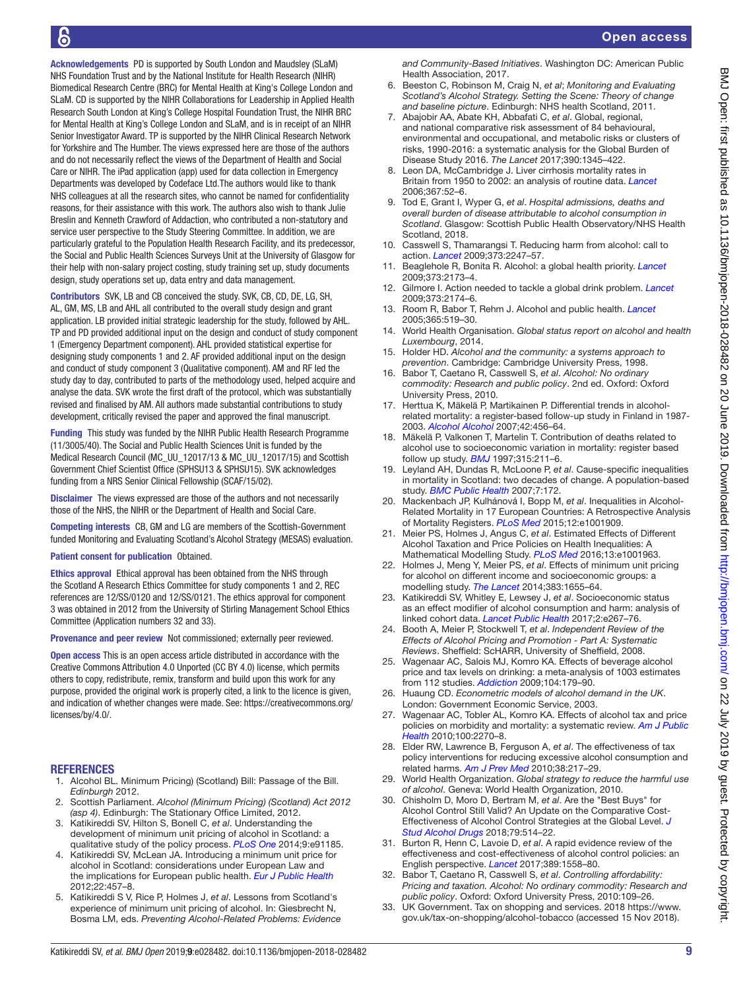Acknowledgements PD is supported by South London and Maudsley (SLaM) NHS Foundation Trust and by the National Institute for Health Research (NIHR) Biomedical Research Centre (BRC) for Mental Health at King's College London and SLaM. CD is supported by the NIHR Collaborations for Leadership in Applied Health Research South London at King's College Hospital Foundation Trust, the NIHR BRC for Mental Health at King's College London and SLaM, and is in receipt of an NIHR Senior Investigator Award. TP is supported by the NIHR Clinical Research Network for Yorkshire and The Humber. The views expressed here are those of the authors and do not necessarily reflect the views of the Department of Health and Social Care or NIHR. The iPad application (app) used for data collection in Emergency Departments was developed by Codeface Ltd.The authors would like to thank NHS colleagues at all the research sites, who cannot be named for confidentiality reasons, for their assistance with this work. The authors also wish to thank Julie Breslin and Kenneth Crawford of Addaction, who contributed a non-statutory and service user perspective to the Study Steering Committee. In addition, we are particularly grateful to the Population Health Research Facility, and its predecessor, the Social and Public Health Sciences Surveys Unit at the University of Glasgow for their help with non-salary project costing, study training set up, study documents design, study operations set up, data entry and data management.

Contributors SVK, LB and CB conceived the study. SVK, CB, CD, DE, LG, SH, AL, GM, MS, LB and AHL all contributed to the overall study design and grant application. LB provided initial strategic leadership for the study, followed by AHL. TP and PD provided additional input on the design and conduct of study component 1 (Emergency Department component). AHL provided statistical expertise for designing study components 1 and 2. AF provided additional input on the design and conduct of study component 3 (Qualitative component). AM and RF led the study day to day, contributed to parts of the methodology used, helped acquire and analyse the data. SVK wrote the first draft of the protocol, which was substantially revised and finalised by AM. All authors made substantial contributions to study development, critically revised the paper and approved the final manuscript.

Funding This study was funded by the NIHR Public Health Research Programme (11/3005/40). The Social and Public Health Sciences Unit is funded by the Medical Research Council (MC\_UU\_12017/13 & MC\_UU\_12017/15) and Scottish Government Chief Scientist Office (SPHSU13 & SPHSU15). SVK acknowledges funding from a NRS Senior Clinical Fellowship (SCAF/15/02).

Disclaimer The views expressed are those of the authors and not necessarily those of the NHS, the NIHR or the Department of Health and Social Care.

Competing interests CB, GM and LG are members of the Scottish-Government funded Monitoring and Evaluating Scotland's Alcohol Strategy (MESAS) evaluation.

Patient consent for publication Obtained.

Ethics approval Ethical approval has been obtained from the NHS through the Scotland A Research Ethics Committee for study components 1 and 2, REC references are 12/SS/0120 and 12/SS/0121. The ethics approval for component 3 was obtained in 2012 from the University of Stirling Management School Ethics Committee (Application numbers 32 and 33).

Provenance and peer review Not commissioned; externally peer reviewed.

Open access This is an open access article distributed in accordance with the Creative Commons Attribution 4.0 Unported (CC BY 4.0) license, which permits others to copy, redistribute, remix, transform and build upon this work for any purpose, provided the original work is properly cited, a link to the licence is given, and indication of whether changes were made. See: [https://creativecommons.org/](https://creativecommons.org/licenses/by/4.0/) [licenses/by/4.0/.](https://creativecommons.org/licenses/by/4.0/)

#### **REFERENCES**

- <span id="page-8-0"></span>1. Alcohol BL. Minimum Pricing) (Scotland) Bill: Passage of the Bill. *Edinburgh* 2012.
- 2. Scottish Parliament. *Alcohol (Minimum Pricing) (Scotland) Act 2012 (asp 4)*. Edinburgh: The Stationary Office Limited, 2012.
- <span id="page-8-13"></span>3. Katikireddi SV, Hilton S, Bonell C, *et al*. Understanding the development of minimum unit pricing of alcohol in Scotland: a qualitative study of the policy process. *[PLoS One](http://dx.doi.org/10.1371/journal.pone.0091185)* 2014;9:e91185.
- <span id="page-8-1"></span>4. Katikireddi SV, McLean JA. Introducing a minimum unit price for alcohol in Scotland: considerations under European Law and the implications for European public health. *[Eur J Public Health](http://dx.doi.org/10.1093/eurpub/cks091)* 2012;22:457–8.
- 5. Katikireddi S V, Rice P, Holmes J, *et al*. Lessons from Scotland's experience of minimum unit pricing of alcohol. In: Giesbrecht N, Bosma LM, eds. *Preventing Alcohol-Related Problems: Evidence*

*and Community-Based Initiatives*. Washington DC: American Public Health Association, 2017.

- <span id="page-8-2"></span>6. Beeston C, Robinson M, Craig N, *et al*; *Monitoring and Evaluating Scotland's Alcohol Strategy. Setting the Scene: Theory of change and baseline picture*. Edinburgh: NHS health Scotland, 2011.
- <span id="page-8-3"></span>7. Abajobir AA, Abate KH, Abbafati C, *et al*. Global, regional, and national comparative risk assessment of 84 behavioural, environmental and occupational, and metabolic risks or clusters of risks, 1990-2016: a systematic analysis for the Global Burden of Disease Study 2016. *The Lancet* 2017;390:1345–422.
- <span id="page-8-4"></span>8. Leon DA, McCambridge J. Liver cirrhosis mortality rates in Britain from 1950 to 2002: an analysis of routine data. *[Lancet](http://dx.doi.org/10.1016/S0140-6736(06)67924-5)* 2006;367:52–6.
- <span id="page-8-5"></span>9. Tod E, Grant I, Wyper G, *et al*. *Hospital admissions, deaths and overall burden of disease attributable to alcohol consumption in Scotland*. Glasgow: Scottish Public Health Observatory/NHS Health Scotland, 2018.
- 10. Casswell S, Thamarangsi T. Reducing harm from alcohol: call to action. *[Lancet](http://dx.doi.org/10.1016/S0140-6736(09)60745-5)* 2009;373:2247–57.
- 11. Beaglehole R, Bonita R. Alcohol: a global health priority. *[Lancet](http://dx.doi.org/10.1016/S0140-6736(09)61168-5)* 2009;373:2173–4.
- 12. Gilmore I. Action needed to tackle a global drink problem. *[Lancet](http://dx.doi.org/10.1016/S0140-6736(09)61169-7)* 2009;373:2174–6.
- 13. Room R, Babor T, Rehm J. Alcohol and public health. *[Lancet](http://dx.doi.org/10.1016/S0140-6736(05)17870-2)* 2005;365:519–30.
- 14. World Health Organisation. *Global status report on alcohol and health Luxembourg*, 2014.
- <span id="page-8-6"></span>15. Holder HD. *Alcohol and the community: a systems approach to prevention*. Cambridge: Cambridge University Press, 1998.
- 16. Babor T, Caetano R, Casswell S, *et al*. *Alcohol: No ordinary commodity: Research and public policy*. 2nd ed. Oxford: Oxford University Press, 2010.
- <span id="page-8-7"></span>17. Herttua K, Mäkelä P, Martikainen P. Differential trends in alcoholrelated mortality: a register-based follow-up study in Finland in 1987- 2003. *[Alcohol Alcohol](http://dx.doi.org/10.1093/alcalc/agl099)* 2007;42:456–64.
- 18. Mäkelä P, Valkonen T, Martelin T. Contribution of deaths related to alcohol use to socioeconomic variation in mortality: register based follow up study. *[BMJ](http://dx.doi.org/10.1136/bmj.315.7102.211)* 1997;315:211–6.
- 19. Leyland AH, Dundas R, McLoone P, *et al*. Cause-specific inequalities in mortality in Scotland: two decades of change. A population-based study. *[BMC Public Health](http://dx.doi.org/10.1186/1471-2458-7-172)* 2007;7:172.
- 20. Mackenbach JP, Kulhánová I, Bopp M, *et al*. Inequalities in Alcohol-Related Mortality in 17 European Countries: A Retrospective Analysis of Mortality Registers. *[PLoS Med](http://dx.doi.org/10.1371/journal.pmed.1001909)* 2015;12:e1001909.
- <span id="page-8-8"></span>21. Meier PS, Holmes J, Angus C, *et al*. Estimated Effects of Different Alcohol Taxation and Price Policies on Health Inequalities: A Mathematical Modelling Study. *[PLoS Med](http://dx.doi.org/10.1371/journal.pmed.1001963)* 2016;13:e1001963.
- 22. Holmes J, Meng Y, Meier PS, *et al*. Effects of minimum unit pricing for alcohol on different income and socioeconomic groups: a modelling study. *[The Lancet](http://dx.doi.org/10.1016/S0140-6736(13)62417-4)* 2014;383:1655–64.
- 23. Katikireddi SV, Whitley E, Lewsey J, *et al*. Socioeconomic status as an effect modifier of alcohol consumption and harm: analysis of linked cohort data. *[Lancet Public Health](http://dx.doi.org/10.1016/S2468-2667(17)30078-6)* 2017;2:e267–76.
- <span id="page-8-9"></span>24. Booth A, Meier P, Stockwell T, *et al*. *Independent Review of the Effects of Alcohol Pricing and Promotion - Part A: Systematic Reviews*. Sheffield: ScHARR, University of Sheffield, 2008.
- 25. Wagenaar AC, Salois MJ, Komro KA. Effects of beverage alcohol price and tax levels on drinking: a meta-analysis of 1003 estimates from 112 studies. *[Addiction](http://dx.doi.org/10.1111/j.1360-0443.2008.02438.x)* 2009;104:179–90.
- 26. Huaung CD. *Econometric models of alcohol demand in the UK*. London: Government Economic Service, 2003.
- 27. Wagenaar AC, Tobler AL, Komro KA. Effects of alcohol tax and price policies on morbidity and mortality: a systematic review. *[Am J Public](http://dx.doi.org/10.2105/AJPH.2009.186007)  [Health](http://dx.doi.org/10.2105/AJPH.2009.186007)* 2010;100:2270–8.
- 28. Elder RW, Lawrence B, Ferguson A, *et al*. The effectiveness of tax policy interventions for reducing excessive alcohol consumption and related harms. *[Am J Prev Med](http://dx.doi.org/10.1016/j.amepre.2009.11.005)* 2010;38:217–29.
- <span id="page-8-10"></span>29. World Health Organization. *Global strategy to reduce the harmful use of alcohol*. Geneva: World Health Organization, 2010.
- 30. Chisholm D, Moro D, Bertram M, *et al*. Are the "Best Buys" for Alcohol Control Still Valid? An Update on the Comparative Cost-Effectiveness of Alcohol Control Strategies at the Global Level. *[J](http://dx.doi.org/10.15288/jsad.2018.79.514)  [Stud Alcohol Drugs](http://dx.doi.org/10.15288/jsad.2018.79.514)* 2018;79:514–22.
- 31. Burton R, Henn C, Lavoie D, *et al*. A rapid evidence review of the effectiveness and cost-effectiveness of alcohol control policies: an English perspective. *[Lancet](http://dx.doi.org/10.1016/S0140-6736(16)32420-5)* 2017;389:1558–80.
- <span id="page-8-11"></span>32. Babor T, Caetano R, Casswell S, *et al*. *Controlling affordability: Pricing and taxation. Alcohol: No ordinary commodity: Research and public policy*. Oxford: Oxford University Press, 2010:109–26.
- <span id="page-8-12"></span>33. UK Government. Tax on shopping and services. 2018 [https://www.](https://www.gov.uk/tax-on-shopping/alcohol-tobacco) [gov.uk/tax-on-shopping/alcohol-tobacco](https://www.gov.uk/tax-on-shopping/alcohol-tobacco) (accessed 15 Nov 2018).